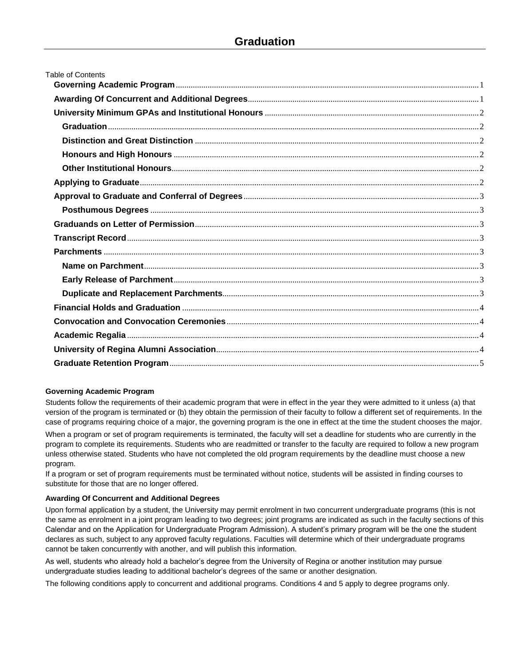| <b>Table of Contents</b> |  |
|--------------------------|--|
|                          |  |
|                          |  |
|                          |  |
|                          |  |
|                          |  |
|                          |  |
|                          |  |
|                          |  |
|                          |  |
|                          |  |
|                          |  |
|                          |  |
|                          |  |
|                          |  |
|                          |  |
|                          |  |
|                          |  |
|                          |  |
|                          |  |
|                          |  |
|                          |  |
|                          |  |

# <span id="page-0-0"></span>**Governing Academic Program**

Students follow the requirements of their academic program that were in effect in the year they were admitted to it unless (a) that version of the program is terminated or (b) they obtain the permission of their faculty to follow a different set of requirements. In the case of programs requiring choice of a major, the governing program is the one in effect at the time the student chooses the major.

When a program or set of program requirements is terminated, the faculty will set a deadline for students who are currently in the program to complete its requirements. Students who are readmitted or transfer to the faculty are required to follow a new program unless otherwise stated. Students who have not completed the old program requirements by the deadline must choose a new program.

If a program or set of program requirements must be terminated without notice, students will be assisted in finding courses to substitute for those that are no longer offered.

### <span id="page-0-1"></span>**Awarding Of Concurrent and Additional Degrees**

Upon formal application by a student, the University may permit enrolment in two concurrent undergraduate programs (this is not the same as enrolment in a joint program leading to two degrees; joint programs are indicated as such in the faculty sections of this Calendar and on the Application for Undergraduate Program Admission). A student's primary program will be the one the student declares as such, subject to any approved faculty regulations. Faculties will determine which of their undergraduate programs cannot be taken concurrently with another, and will publish this information.

As well, students who already hold a bachelor's degree from the University of Regina or another institution may pursue undergraduate studies leading to additional bachelor's degrees of the same or another designation.

The following conditions apply to concurrent and additional programs. Conditions 4 and 5 apply to degree programs only.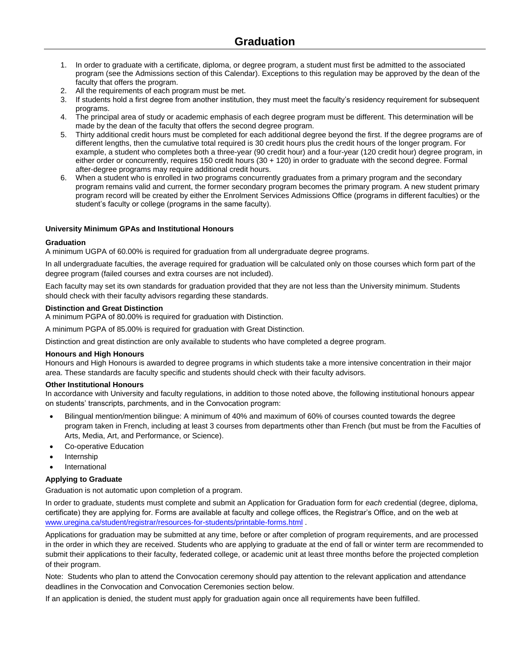- 1. In order to graduate with a certificate, diploma, or degree program, a student must first be admitted to the associated program (see the Admissions section of this Calendar). Exceptions to this regulation may be approved by the dean of the faculty that offers the program.
- 2. All the requirements of each program must be met.
- 3. If students hold a first degree from another institution, they must meet the faculty's residency requirement for subsequent programs.
- 4. The principal area of study or academic emphasis of each degree program must be different. This determination will be made by the dean of the faculty that offers the second degree program.
- 5. Thirty additional credit hours must be completed for each additional degree beyond the first. If the degree programs are of different lengths, then the cumulative total required is 30 credit hours plus the credit hours of the longer program. For example, a student who completes both a three-year (90 credit hour) and a four-year (120 credit hour) degree program, in either order or concurrently, requires 150 credit hours (30 + 120) in order to graduate with the second degree. Formal after-degree programs may require additional credit hours.
- 6. When a student who is enrolled in two programs concurrently graduates from a primary program and the secondary program remains valid and current, the former secondary program becomes the primary program. A new student primary program record will be created by either the Enrolment Services Admissions Office (programs in different faculties) or the student's faculty or college (programs in the same faculty).

## <span id="page-1-0"></span>**University Minimum GPAs and Institutional Honours**

### <span id="page-1-1"></span>**Graduation**

A minimum UGPA of 60.00% is required for graduation from all undergraduate degree programs.

In all undergraduate faculties, the average required for graduation will be calculated only on those courses which form part of the degree program (failed courses and extra courses are not included).

Each faculty may set its own standards for graduation provided that they are not less than the University minimum. Students should check with their faculty advisors regarding these standards.

### <span id="page-1-2"></span>**Distinction and Great Distinction**

A minimum PGPA of 80.00% is required for graduation with Distinction.

A minimum PGPA of 85.00% is required for graduation with Great Distinction.

Distinction and great distinction are only available to students who have completed a degree program.

#### <span id="page-1-3"></span>**Honours and High Honours**

Honours and High Honours is awarded to degree programs in which students take a more intensive concentration in their major area. These standards are faculty specific and students should check with their faculty advisors.

### <span id="page-1-4"></span>**Other Institutional Honours**

In accordance with University and faculty regulations, in addition to those noted above, the following institutional honours appear on students' transcripts, parchments, and in the Convocation program:

- Bilingual mention/mention bilingue: A minimum of 40% and maximum of 60% of courses counted towards the degree program taken in French, including at least 3 courses from departments other than French (but must be from the Faculties of Arts, Media, Art, and Performance, or Science).
- Co-operative Education
- Internship
- International

### <span id="page-1-5"></span>**Applying to Graduate**

Graduation is not automatic upon completion of a program.

In order to graduate, students must complete and submit an Application for Graduation form for *each* credential (degree, diploma, certificate) they are applying for. Forms are available at faculty and college offices, the Registrar's Office, and on the web at [www.uregina.ca/student/registrar/resources-for-students/printable-forms.html](https://www.uregina.ca/student/registrar/resources-for-students/printable-forms.html) .

Applications for graduation may be submitted at any time, before or after completion of program requirements, and are processed in the order in which they are received. Students who are applying to graduate at the end of fall or winter term are recommended to submit their applications to their faculty, federated college, or academic unit at least three months before the projected completion of their program.

Note: Students who plan to attend the Convocation ceremony should pay attention to the relevant application and attendance deadlines in the Convocation and Convocation Ceremonies section below.

If an application is denied, the student must apply for graduation again once all requirements have been fulfilled.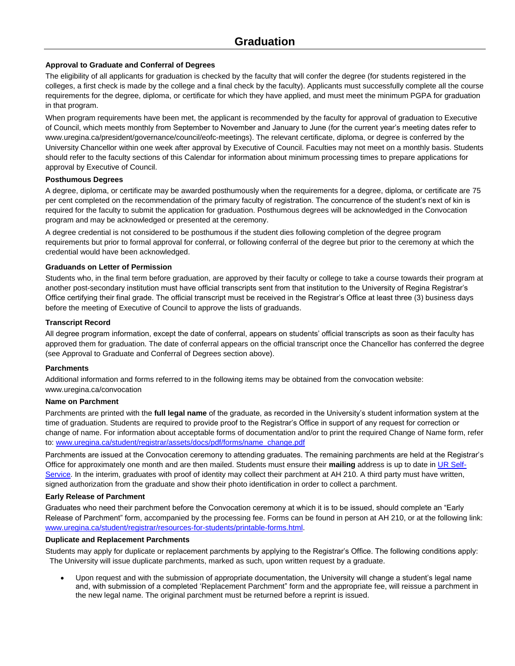# <span id="page-2-0"></span>**Approval to Graduate and Conferral of Degrees**

The eligibility of all applicants for graduation is checked by the faculty that will confer the degree (for students registered in the colleges, a first check is made by the college and a final check by the faculty). Applicants must successfully complete all the course requirements for the degree, diploma, or certificate for which they have applied, and must meet the minimum PGPA for graduation in that program.

When program requirements have been met, the applicant is recommended by the faculty for approval of graduation to Executive of Council, which meets monthly from September to November and January to June (for the current year's meeting dates refer to www.uregina.ca/president/governance/council/eofc-meetings). The relevant certificate, diploma, or degree is conferred by the University Chancellor within one week after approval by Executive of Council. Faculties may not meet on a monthly basis. Students should refer to the faculty sections of this Calendar for information about minimum processing times to prepare applications for approval by Executive of Council.

## <span id="page-2-1"></span>**Posthumous Degrees**

A degree, diploma, or certificate may be awarded posthumously when the requirements for a degree, diploma, or certificate are 75 per cent completed on the recommendation of the primary faculty of registration. The concurrence of the student's next of kin is required for the faculty to submit the application for graduation. Posthumous degrees will be acknowledged in the Convocation program and may be acknowledged or presented at the ceremony.

A degree credential is not considered to be posthumous if the student dies following completion of the degree program requirements but prior to formal approval for conferral, or following conferral of the degree but prior to the ceremony at which the credential would have been acknowledged.

## <span id="page-2-2"></span>**Graduands on Letter of Permission**

Students who, in the final term before graduation, are approved by their faculty or college to take a course towards their program at another post-secondary institution must have official transcripts sent from that institution to the University of Regina Registrar's Office certifying their final grade. The official transcript must be received in the Registrar's Office at least three (3) business days before the meeting of Executive of Council to approve the lists of graduands.

## <span id="page-2-3"></span>**Transcript Record**

All degree program information, except the date of conferral, appears on students' official transcripts as soon as their faculty has approved them for graduation. The date of conferral appears on the official transcript once the Chancellor has conferred the degree (see Approval to Graduate and Conferral of Degrees section above).

# <span id="page-2-4"></span>**Parchments**

Additional information and forms referred to in the following items may be obtained from the convocation website: www.uregina.ca/convocation

### <span id="page-2-5"></span>**Name on Parchment**

Parchments are printed with the **full legal name** of the graduate, as recorded in the University's student information system at the time of graduation. Students are required to provide proof to the Registrar's Office in support of any request for correction or change of name. For information about acceptable forms of documentation and/or to print the required Change of Name form, refer to[: www.uregina.ca/student/registrar/assets/docs/pdf/forms/name\\_change.pdf](http://www.uregina.ca/student/registrar/assets/docs/pdf/forms/name_change.pdf)

Parchments are issued at the Convocation ceremony to attending graduates. The remaining parchments are held at the Registrar's Office for approximately one month and are then mailed. Students must ensure their **mailing** address is up to date i[n UR Self-](https://banner.uregina.ca/prod/sct/twbkwbis.P_WWWLogin)[Service.](https://banner.uregina.ca/prod/sct/twbkwbis.P_WWWLogin) In the interim, graduates with proof of identity may collect their parchment at AH 210. A third party must have written, signed authorization from the graduate and show their photo identification in order to collect a parchment.

### <span id="page-2-6"></span>**Early Release of Parchment**

Graduates who need their parchment before the Convocation ceremony at which it is to be issued, should complete an "Early Release of Parchment" form, accompanied by the processing fee. Forms can be found in person at AH 210, or at the following link: [www.uregina.ca/student/registrar/resources-for-students/printable-forms.html.](http://www.uregina.ca/student/registrar/resources-for-students/printable-forms.html)

### <span id="page-2-7"></span>**Duplicate and Replacement Parchments**

Students may apply for duplicate or replacement parchments by applying to the Registrar's Office. The following conditions apply: The University will issue duplicate parchments, marked as such, upon written request by a graduate.

 Upon request and with the submission of appropriate documentation, the University will change a student's legal name and, with submission of a completed 'Replacement Parchment" form and the appropriate fee, will reissue a parchment in the new legal name. The original parchment must be returned before a reprint is issued.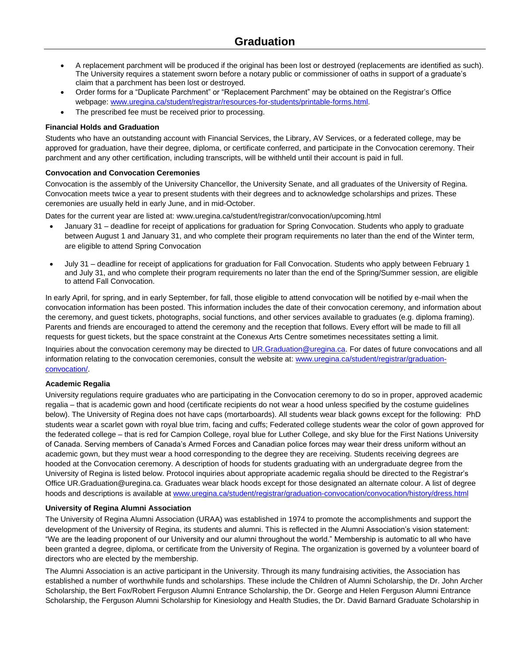- A replacement parchment will be produced if the original has been lost or destroyed (replacements are identified as such). The University requires a statement sworn before a notary public or commissioner of oaths in support of a graduate's claim that a parchment has been lost or destroyed.
- Order forms for a "Duplicate Parchment" or "Replacement Parchment" may be obtained on the Registrar's Office webpage: [www.uregina.ca/student/registrar/resources-for-students/printable-forms.html.](http://www.uregina.ca/student/registrar/resources-for-students/printable-forms.html)
- The prescribed fee must be received prior to processing.

# <span id="page-3-0"></span>**Financial Holds and Graduation**

Students who have an outstanding account with Financial Services, the Library, AV Services, or a federated college, may be approved for graduation, have their degree, diploma, or certificate conferred, and participate in the Convocation ceremony. Their parchment and any other certification, including transcripts, will be withheld until their account is paid in full.

## <span id="page-3-1"></span>**Convocation and Convocation Ceremonies**

Convocation is the assembly of the University Chancellor, the University Senate, and all graduates of the University of Regina. Convocation meets twice a year to present students with their degrees and to acknowledge scholarships and prizes. These ceremonies are usually held in early June, and in mid-October.

Dates for the current year are listed at: [www.uregina.ca/student/registrar/convocation/upcoming.html](http://www.uregina.ca/student/registrar/convocation/upcoming.html)

- January 31 deadline for receipt of applications for graduation for Spring Convocation. Students who apply to graduate between August 1 and January 31, and who complete their program requirements no later than the end of the Winter term, are eligible to attend Spring Convocation
- July 31 deadline for receipt of applications for graduation for Fall Convocation. Students who apply between February 1 and July 31, and who complete their program requirements no later than the end of the Spring/Summer session, are eligible to attend Fall Convocation.

In early April, for spring, and in early September, for fall, those eligible to attend convocation will be notified by e-mail when the convocation information has been posted. This information includes the date of their convocation ceremony, and information about the ceremony, and guest tickets, photographs, social functions, and other services available to graduates (e.g. diploma framing). Parents and friends are encouraged to attend the ceremony and the reception that follows. Every effort will be made to fill all requests for guest tickets, but the space constraint at the Conexus Arts Centre sometimes necessitates setting a limit.

Inquiries about the convocation ceremony may be directed t[o UR.Graduation@uregina.ca.](mailto:UR.Graduation@uregina.ca) For dates of future convocations and all information relating to the convocation ceremonies, consult the website at[: www.uregina.ca/student/registrar/graduation](https://www.uregina.ca/student/registrar/graduation-convocation/)[convocation/.](https://www.uregina.ca/student/registrar/graduation-convocation/)

# <span id="page-3-2"></span>**Academic Regalia**

University regulations require graduates who are participating in the Convocation ceremony to do so in proper, approved academic regalia – that is academic gown and hood (certificate recipients do not wear a hood unless specified by the costume guidelines below). The University of Regina does not have caps (mortarboards). All students wear black gowns except for the following: PhD students wear a scarlet gown with royal blue trim, facing and cuffs; Federated college students wear the color of gown approved for the federated college – that is red for Campion College, royal blue for Luther College, and sky blue for the First Nations University of Canada. Serving members of Canada's Armed Forces and Canadian police forces may wear their dress uniform without an academic gown, but they must wear a hood corresponding to the degree they are receiving. Students receiving degrees are hooded at the Convocation ceremony. A description of hoods for students graduating with an undergraduate degree from the University of Regina is listed below. Protocol inquiries about appropriate academic regalia should be directed to the Registrar's Office UR.Graduation@uregina.ca. Graduates wear black hoods except for those designated an alternate colour. A list of degree hoods and descriptions is available at [www.uregina.ca/student/registrar/graduation-convocation/convocation/history/dress.html](http://www.uregina.ca/student/registrar/graduation-convocation/convocation/history/dress.html)

### <span id="page-3-3"></span>**University of Regina Alumni Association**

The University of Regina Alumni Association (URAA) was established in 1974 to promote the accomplishments and support the development of the University of Regina, its students and alumni. This is reflected in the Alumni Association's vision statement: "We are the leading proponent of our University and our alumni throughout the world." Membership is automatic to all who have been granted a degree, diploma, or certificate from the University of Regina. The organization is governed by a volunteer board of directors who are elected by the membership.

The Alumni Association is an active participant in the University. Through its many fundraising activities, the Association has established a number of worthwhile funds and scholarships. These include the Children of Alumni Scholarship, the Dr. John Archer Scholarship, the Bert Fox/Robert Ferguson Alumni Entrance Scholarship, the Dr. George and Helen Ferguson Alumni Entrance Scholarship, the Ferguson Alumni Scholarship for Kinesiology and Health Studies, the Dr. David Barnard Graduate Scholarship in